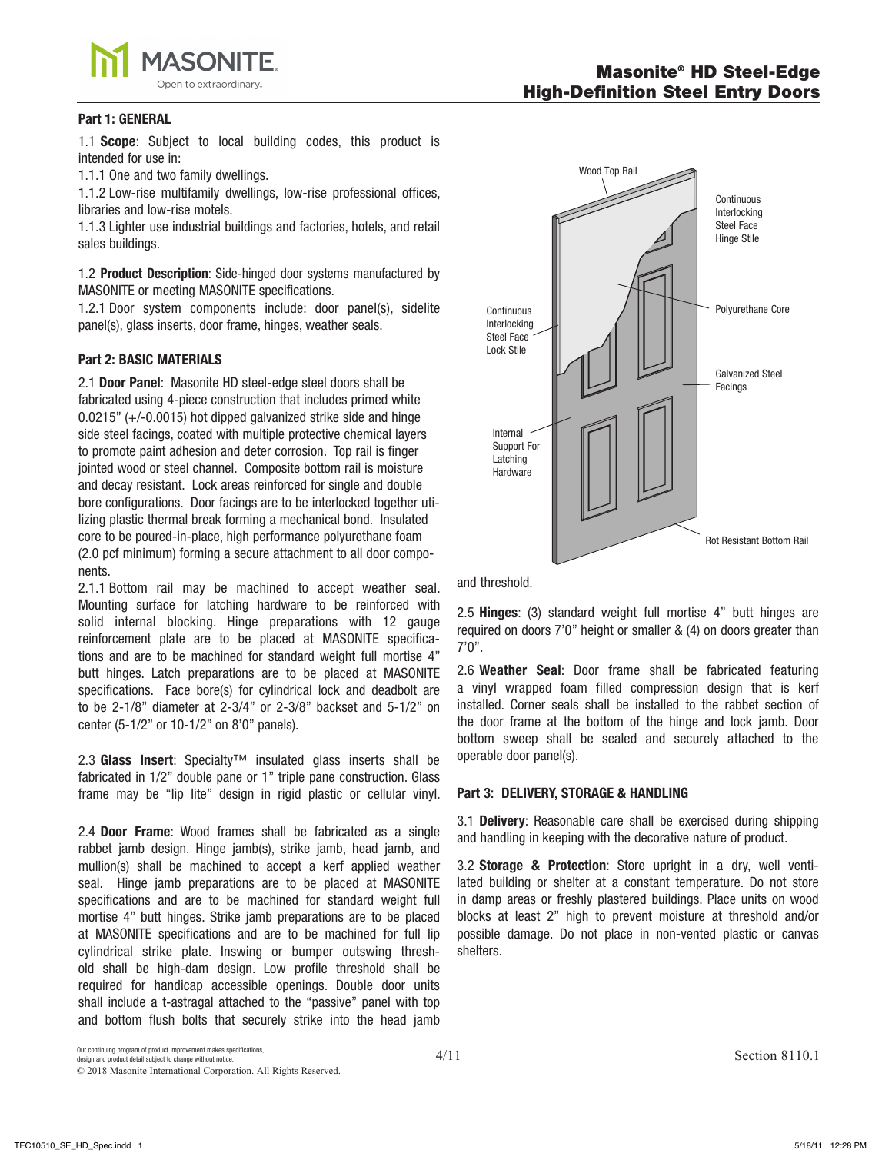

### **Part 1: GENERAL**

1.1 **Scope**: Subject to local building codes, this product is intended for use in:

1.1.1 One and two family dwellings.

1.1.2 Low-rise multifamily dwellings, low-rise professional offices, libraries and low-rise motels.

1.1.3 Lighter use industrial buildings and factories, hotels, and retail sales buildings.

1.2 **Product Description**: Side-hinged door systems manufactured by MASONITE or meeting MASONITE specifications.

1.2.1 Door system components include: door panel(s), sidelite panel(s), glass inserts, door frame, hinges, weather seals.

# **Part 2: BASIC MATERIALS**

2.1 **Door Panel**: Masonite HD steel-edge steel doors shall be fabricated using 4-piece construction that includes primed white 0.0215" (+/-0.0015) hot dipped galvanized strike side and hinge side steel facings, coated with multiple protective chemical layers to promote paint adhesion and deter corrosion. Top rail is finger jointed wood or steel channel. Composite bottom rail is moisture and decay resistant. Lock areas reinforced for single and double bore configurations. Door facings are to be interlocked together utilizing plastic thermal break forming a mechanical bond. Insulated core to be poured-in-place, high performance polyurethane foam (2.0 pcf minimum) forming a secure attachment to all door components.

2.1.1 Bottom rail may be machined to accept weather seal. Mounting surface for latching hardware to be reinforced with solid internal blocking. Hinge preparations with 12 gauge reinforcement plate are to be placed at MASONITE specifications and are to be machined for standard weight full mortise 4" butt hinges. Latch preparations are to be placed at MASONITE specifications. Face bore(s) for cylindrical lock and deadbolt are to be 2-1/8" diameter at 2-3/4" or 2-3/8" backset and 5-1/2" on center (5-1/2" or 10-1/2" on 8'0" panels).

2.3 **Glass Insert**: Specialty™ insulated glass inserts shall be fabricated in 1/2" double pane or 1" triple pane construction. Glass frame may be "lip lite" design in rigid plastic or cellular vinyl.

2.4 **Door Frame**: Wood frames shall be fabricated as a single rabbet jamb design. Hinge jamb(s), strike jamb, head jamb, and mullion(s) shall be machined to accept a kerf applied weather seal. Hinge jamb preparations are to be placed at MASONITE specifications and are to be machined for standard weight full mortise 4" butt hinges. Strike jamb preparations are to be placed at MASONITE specifications and are to be machined for full lip cylindrical strike plate. Inswing or bumper outswing threshold shall be high-dam design. Low profile threshold shall be required for handicap accessible openings. Double door units shall include a t-astragal attached to the "passive" panel with top and bottom flush bolts that securely strike into the head jamb



and threshold.

2.5 **Hinges**: (3) standard weight full mortise 4" butt hinges are required on doors 7'0" height or smaller & (4) on doors greater than 7'0".

2.6 **Weather Seal**: Door frame shall be fabricated featuring a vinyl wrapped foam filled compression design that is kerf installed. Corner seals shall be installed to the rabbet section of the door frame at the bottom of the hinge and lock jamb. Door bottom sweep shall be sealed and securely attached to the operable door panel(s).

# **Part 3: DELIVERY, STORAGE & HANDLING**

3.1 **Delivery**: Reasonable care shall be exercised during shipping and handling in keeping with the decorative nature of product.

3.2 **Storage & Protection**: Store upright in a dry, well ventilated building or shelter at a constant temperature. Do not store in damp areas or freshly plastered buildings. Place units on wood blocks at least 2" high to prevent moisture at threshold and/or possible damage. Do not place in non-vented plastic or canvas shelters.

Our continuing program of product improvement makes specifications, design and product detail subject to change without notice.

<sup>© 201</sup>8 Masonite International Corporation. All Rights Reserved.